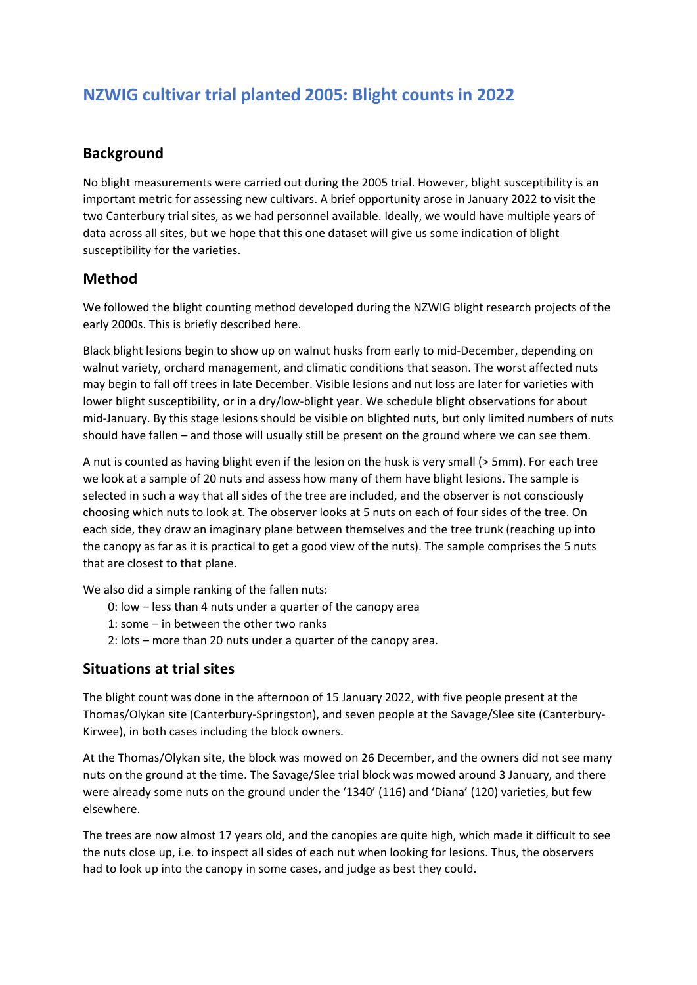# **NZWIG cultivar trial planted 2005: Blight counts in 2022**

## **Background**

No blight measurements were carried out during the 2005 trial. However, blight susceptibility is an important metric for assessing new cultivars. A brief opportunity arose in January 2022 to visit the two Canterbury trial sites, as we had personnel available. Ideally, we would have multiple years of data across all sites, but we hope that this one dataset will give us some indication of blight susceptibility for the varieties.

#### **Method**

We followed the blight counting method developed during the NZWIG blight research projects of the early 2000s. This is briefly described here.

Black blight lesions begin to show up on walnut husks from early to mid‐December, depending on walnut variety, orchard management, and climatic conditions that season. The worst affected nuts may begin to fall off trees in late December. Visible lesions and nut loss are later for varieties with lower blight susceptibility, or in a dry/low-blight year. We schedule blight observations for about mid‐January. By this stage lesions should be visible on blighted nuts, but only limited numbers of nuts should have fallen – and those will usually still be present on the ground where we can see them.

A nut is counted as having blight even if the lesion on the husk is very small (> 5mm). For each tree we look at a sample of 20 nuts and assess how many of them have blight lesions. The sample is selected in such a way that all sides of the tree are included, and the observer is not consciously choosing which nuts to look at. The observer looks at 5 nuts on each of four sides of the tree. On each side, they draw an imaginary plane between themselves and the tree trunk (reaching up into the canopy as far as it is practical to get a good view of the nuts). The sample comprises the 5 nuts that are closest to that plane.

We also did a simple ranking of the fallen nuts:

- 0: low less than 4 nuts under a quarter of the canopy area
- 1: some in between the other two ranks
- 2: lots more than 20 nuts under a quarter of the canopy area.

#### **Situations at trial sites**

The blight count was done in the afternoon of 15 January 2022, with five people present at the Thomas/Olykan site (Canterbury‐Springston), and seven people at the Savage/Slee site (Canterbury‐ Kirwee), in both cases including the block owners.

At the Thomas/Olykan site, the block was mowed on 26 December, and the owners did not see many nuts on the ground at the time. The Savage/Slee trial block was mowed around 3 January, and there were already some nuts on the ground under the '1340' (116) and 'Diana' (120) varieties, but few elsewhere.

The trees are now almost 17 years old, and the canopies are quite high, which made it difficult to see the nuts close up, i.e. to inspect all sides of each nut when looking for lesions. Thus, the observers had to look up into the canopy in some cases, and judge as best they could.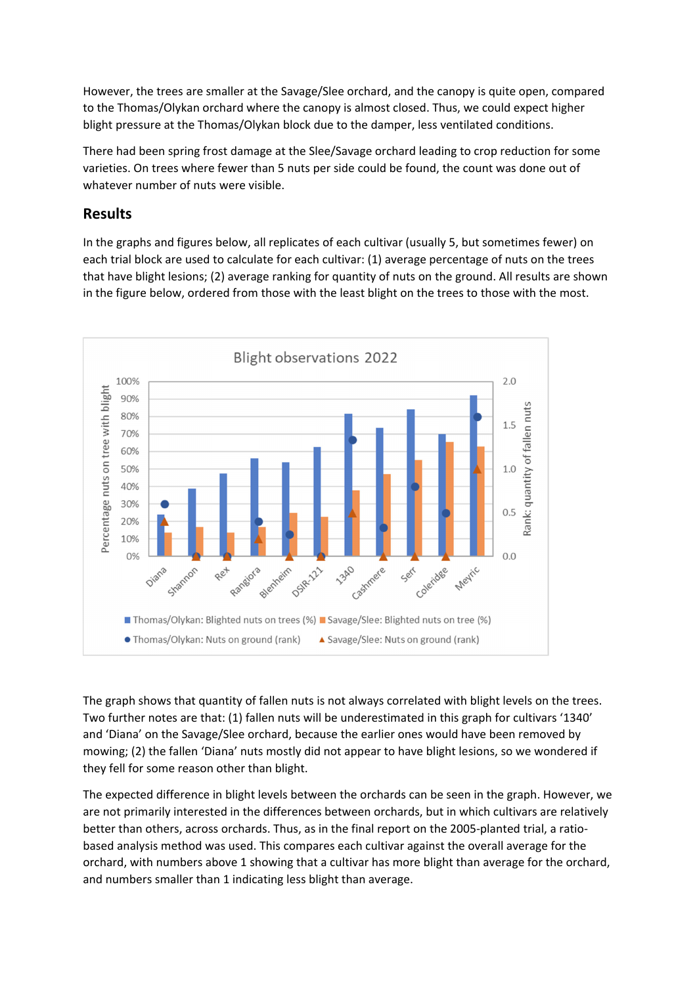However, the trees are smaller at the Savage/Slee orchard, and the canopy is quite open, compared to the Thomas/Olykan orchard where the canopy is almost closed. Thus, we could expect higher blight pressure at the Thomas/Olykan block due to the damper, less ventilated conditions.

There had been spring frost damage at the Slee/Savage orchard leading to crop reduction for some varieties. On trees where fewer than 5 nuts per side could be found, the count was done out of whatever number of nuts were visible.

### **Results**

In the graphs and figures below, all replicates of each cultivar (usually 5, but sometimes fewer) on each trial block are used to calculate for each cultivar: (1) average percentage of nuts on the trees that have blight lesions; (2) average ranking for quantity of nuts on the ground. All results are shown in the figure below, ordered from those with the least blight on the trees to those with the most.



The graph shows that quantity of fallen nuts is not always correlated with blight levels on the trees. Two further notes are that: (1) fallen nuts will be underestimated in this graph for cultivars '1340' and 'Diana' on the Savage/Slee orchard, because the earlier ones would have been removed by mowing; (2) the fallen 'Diana' nuts mostly did not appear to have blight lesions, so we wondered if they fell for some reason other than blight.

The expected difference in blight levels between the orchards can be seen in the graph. However, we are not primarily interested in the differences between orchards, but in which cultivars are relatively better than others, across orchards. Thus, as in the final report on the 2005-planted trial, a ratiobased analysis method was used. This compares each cultivar against the overall average for the orchard, with numbers above 1 showing that a cultivar has more blight than average for the orchard, and numbers smaller than 1 indicating less blight than average.